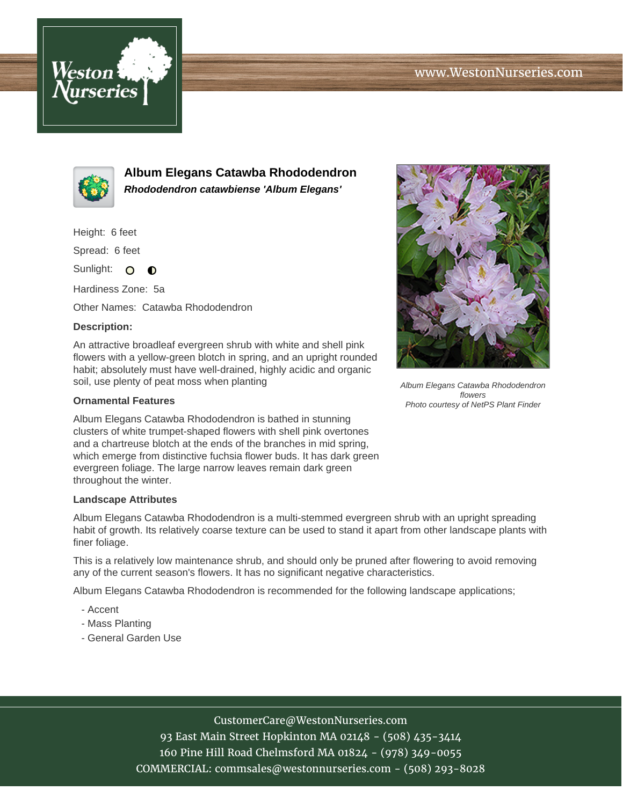



**Album Elegans Catawba Rhododendron Rhododendron catawbiense 'Album Elegans'**

Height: 6 feet

Spread: 6 feet

Sunlight: O  $\bullet$ 

Hardiness Zone: 5a

Other Names: Catawba Rhododendron

## **Description:**

An attractive broadleaf evergreen shrub with white and shell pink flowers with a yellow-green blotch in spring, and an upright rounded habit; absolutely must have well-drained, highly acidic and organic soil, use plenty of peat moss when planting

### **Ornamental Features**

Album Elegans Catawba Rhododendron is bathed in stunning clusters of white trumpet-shaped flowers with shell pink overtones and a chartreuse blotch at the ends of the branches in mid spring, which emerge from distinctive fuchsia flower buds. It has dark green evergreen foliage. The large narrow leaves remain dark green throughout the winter.

#### **Landscape Attributes**

Album Elegans Catawba Rhododendron is a multi-stemmed evergreen shrub with an upright spreading habit of growth. Its relatively coarse texture can be used to stand it apart from other landscape plants with finer foliage.

This is a relatively low maintenance shrub, and should only be pruned after flowering to avoid removing any of the current season's flowers. It has no significant negative characteristics.

Album Elegans Catawba Rhododendron is recommended for the following landscape applications;

- Accent
- Mass Planting
- General Garden Use



Album Elegans Catawba Rhododendron flowers

# CustomerCare@WestonNurseries.com

93 East Main Street Hopkinton MA 02148 - (508) 435-3414 160 Pine Hill Road Chelmsford MA 01824 - (978) 349-0055 COMMERCIAL: commsales@westonnurseries.com - (508) 293-8028